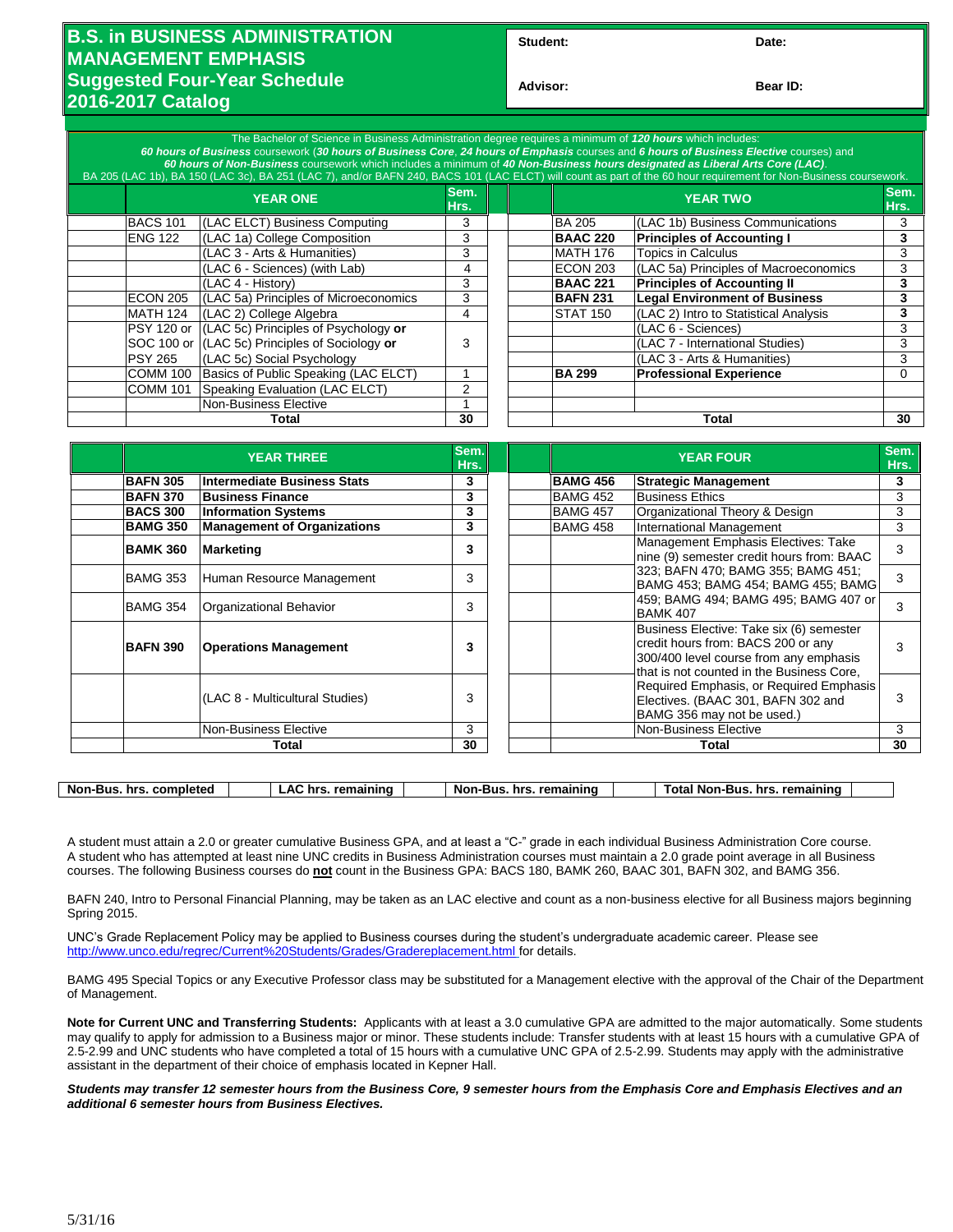## **B.S. in BUSINESS ADMINISTRATION MANAGEMENT EMPHASIS Suggested Four-Year Schedule 2016-2017 Catalog**

| Student: | Date: |
|----------|-------|
|----------|-------|

**Advisor: Bear ID:** 

| The Bachelor of Science in Business Administration degree requires a minimum of 120 hours which includes:<br>60 hours of Business coursework (30 hours of Business Core, 24 hours of Emphasis courses and 6 hours of Business Elective courses) and<br>60 hours of Non-Business coursework which includes a minimum of 40 Non-Business hours designated as Liberal Arts Core (LAC).<br>BA 205 (LAC 1b), BA 150 (LAC 3c), BA 251 (LAC 7), and/or BAFN 240, BACS 101 (LAC ELCT) will count as part of the 60 hour requirement for Non-Business coursework. |                 |                                                |              |  |                 |                                       |              |
|----------------------------------------------------------------------------------------------------------------------------------------------------------------------------------------------------------------------------------------------------------------------------------------------------------------------------------------------------------------------------------------------------------------------------------------------------------------------------------------------------------------------------------------------------------|-----------------|------------------------------------------------|--------------|--|-----------------|---------------------------------------|--------------|
|                                                                                                                                                                                                                                                                                                                                                                                                                                                                                                                                                          | <b>YEAR ONE</b> |                                                | Sem.<br>Hrs. |  | <b>YEAR TWO</b> |                                       | Sem.<br>Hrs. |
|                                                                                                                                                                                                                                                                                                                                                                                                                                                                                                                                                          | <b>BACS 101</b> | (LAC ELCT) Business Computing                  | 3            |  | <b>BA 205</b>   | (LAC 1b) Business Communications      |              |
|                                                                                                                                                                                                                                                                                                                                                                                                                                                                                                                                                          | <b>ENG 122</b>  | (LAC 1a) College Composition                   | 3            |  | <b>BAAC 220</b> | <b>Principles of Accounting I</b>     |              |
|                                                                                                                                                                                                                                                                                                                                                                                                                                                                                                                                                          |                 | (LAC 3 - Arts & Humanities)                    | 3            |  | MATH 176        | <b>Topics in Calculus</b>             | 3            |
|                                                                                                                                                                                                                                                                                                                                                                                                                                                                                                                                                          |                 | (LAC 6 - Sciences) (with Lab)                  | 4            |  | ECON 203        | (LAC 5a) Principles of Macroeconomics | 3            |
|                                                                                                                                                                                                                                                                                                                                                                                                                                                                                                                                                          |                 | (LAC 4 - History)                              | 3            |  | <b>BAAC 221</b> | <b>Principles of Accounting II</b>    | 3            |
|                                                                                                                                                                                                                                                                                                                                                                                                                                                                                                                                                          | <b>ECON 205</b> | (LAC 5a) Principles of Microeconomics          | 3            |  | <b>BAFN 231</b> | <b>Legal Environment of Business</b>  | 3            |
|                                                                                                                                                                                                                                                                                                                                                                                                                                                                                                                                                          | MATH 124        | (LAC 2) College Algebra                        | 4            |  | STAT 150        | (LAC 2) Intro to Statistical Analysis | 3            |
|                                                                                                                                                                                                                                                                                                                                                                                                                                                                                                                                                          | PSY 120 or      | (LAC 5c) Principles of Psychology or           |              |  |                 | I(LAC 6 - Sciences)                   | 3            |
|                                                                                                                                                                                                                                                                                                                                                                                                                                                                                                                                                          |                 | SOC 100 or (LAC 5c) Principles of Sociology or | 3            |  |                 | (LAC 7 - International Studies)       | 3            |
|                                                                                                                                                                                                                                                                                                                                                                                                                                                                                                                                                          | <b>PSY 265</b>  | (LAC 5c) Social Psychology                     |              |  |                 | (LAC 3 - Arts & Humanities)           | 3            |
|                                                                                                                                                                                                                                                                                                                                                                                                                                                                                                                                                          | <b>COMM 100</b> | Basics of Public Speaking (LAC ELCT)           |              |  | <b>BA 299</b>   | <b>Professional Experience</b>        |              |
|                                                                                                                                                                                                                                                                                                                                                                                                                                                                                                                                                          | <b>COMM 101</b> | Speaking Evaluation (LAC ELCT)                 | 2            |  |                 |                                       |              |
|                                                                                                                                                                                                                                                                                                                                                                                                                                                                                                                                                          |                 | Non-Business Elective                          |              |  |                 |                                       |              |
| Total                                                                                                                                                                                                                                                                                                                                                                                                                                                                                                                                                    |                 | 30                                             |              |  | Total           | 30                                    |              |

|                 | <b>YEAR THREE</b>                  | Sem.<br>Hrs. |                 | <b>YEAR FOUR</b>                                                                                                                                                                                                                                                                     | Sem.<br>Hrs. |
|-----------------|------------------------------------|--------------|-----------------|--------------------------------------------------------------------------------------------------------------------------------------------------------------------------------------------------------------------------------------------------------------------------------------|--------------|
| <b>BAFN 305</b> | Intermediate Business Stats        | 3            | <b>BAMG 456</b> | <b>Strategic Management</b>                                                                                                                                                                                                                                                          | 3            |
| <b>BAFN 370</b> | <b>Business Finance</b>            | 3            | BAMG 452        | <b>Business Ethics</b>                                                                                                                                                                                                                                                               | 3            |
| <b>BACS 300</b> | <b>Information Systems</b>         | 3            | <b>BAMG 457</b> | Organizational Theory & Design                                                                                                                                                                                                                                                       | 3            |
| <b>BAMG 350</b> | <b>Management of Organizations</b> | 3            | <b>BAMG 458</b> | International Management                                                                                                                                                                                                                                                             | 3            |
| <b>BAMK 360</b> | <b>Marketing</b>                   | 3            |                 | Management Emphasis Electives: Take<br>nine (9) semester credit hours from: BAAC                                                                                                                                                                                                     | 3            |
| <b>BAMG 353</b> | Human Resource Management          | 3            |                 | 323; BAFN 470; BAMG 355; BAMG 451;<br>BAMG 453; BAMG 454; BAMG 455; BAMG                                                                                                                                                                                                             | 3            |
| <b>BAMG 354</b> | Organizational Behavior            | 3            |                 | 459; BAMG 494; BAMG 495; BAMG 407 or<br><b>BAMK 407</b>                                                                                                                                                                                                                              |              |
| <b>BAFN 390</b> | <b>Operations Management</b>       | 3            |                 | Business Elective: Take six (6) semester<br>credit hours from: BACS 200 or any<br>300/400 level course from any emphasis<br>that is not counted in the Business Core,<br>Required Emphasis, or Required Emphasis<br>Electives. (BAAC 301, BAFN 302 and<br>BAMG 356 may not be used.) |              |
|                 | (LAC 8 - Multicultural Studies)    | 3            |                 |                                                                                                                                                                                                                                                                                      |              |
|                 | Non-Business Elective              | 3            |                 | Non-Business Elective                                                                                                                                                                                                                                                                | 3            |
|                 | Total                              | 30           |                 | Total                                                                                                                                                                                                                                                                                | 30           |
|                 |                                    |              |                 |                                                                                                                                                                                                                                                                                      |              |

| Non-l<br>completed<br>Bus<br>hrs | rem.<br>naining<br>hr<br>^` | remainin<br>Nor<br>hr:<br>-Bus | remaininu<br>hrs<br>·Bus<br>Nor<br>ота |
|----------------------------------|-----------------------------|--------------------------------|----------------------------------------|
|                                  |                             |                                |                                        |

A student must attain a 2.0 or greater cumulative Business GPA, and at least a "C-" grade in each individual Business Administration Core course. A student who has attempted at least nine UNC credits in Business Administration courses must maintain a 2.0 grade point average in all Business courses. The following Business courses do **not** count in the Business GPA: BACS 180, BAMK 260, BAAC 301, BAFN 302, and BAMG 356.

BAFN 240, Intro to Personal Financial Planning, may be taken as an LAC elective and count as a non-business elective for all Business majors beginning Spring 2015.

UNC's Grade Replacement Policy may be applied to Business courses during the student's undergraduate academic career. Please see <http://www.unco.edu/regrec/Current%20Students/Grades/Gradereplacement.html> for details.

BAMG 495 Special Topics or any Executive Professor class may be substituted for a Management elective with the approval of the Chair of the Department of Management.

**Note for Current UNC and Transferring Students:** Applicants with at least a 3.0 cumulative GPA are admitted to the major automatically. Some students may qualify to apply for admission to a Business major or minor. These students include: Transfer students with at least 15 hours with a cumulative GPA of 2.5-2.99 and UNC students who have completed a total of 15 hours with a cumulative UNC GPA of 2.5-2.99. Students may apply with the administrative assistant in the department of their choice of emphasis located in Kepner Hall.

*Students may transfer 12 semester hours from the Business Core, 9 semester hours from the Emphasis Core and Emphasis Electives and an additional 6 semester hours from Business Electives.*